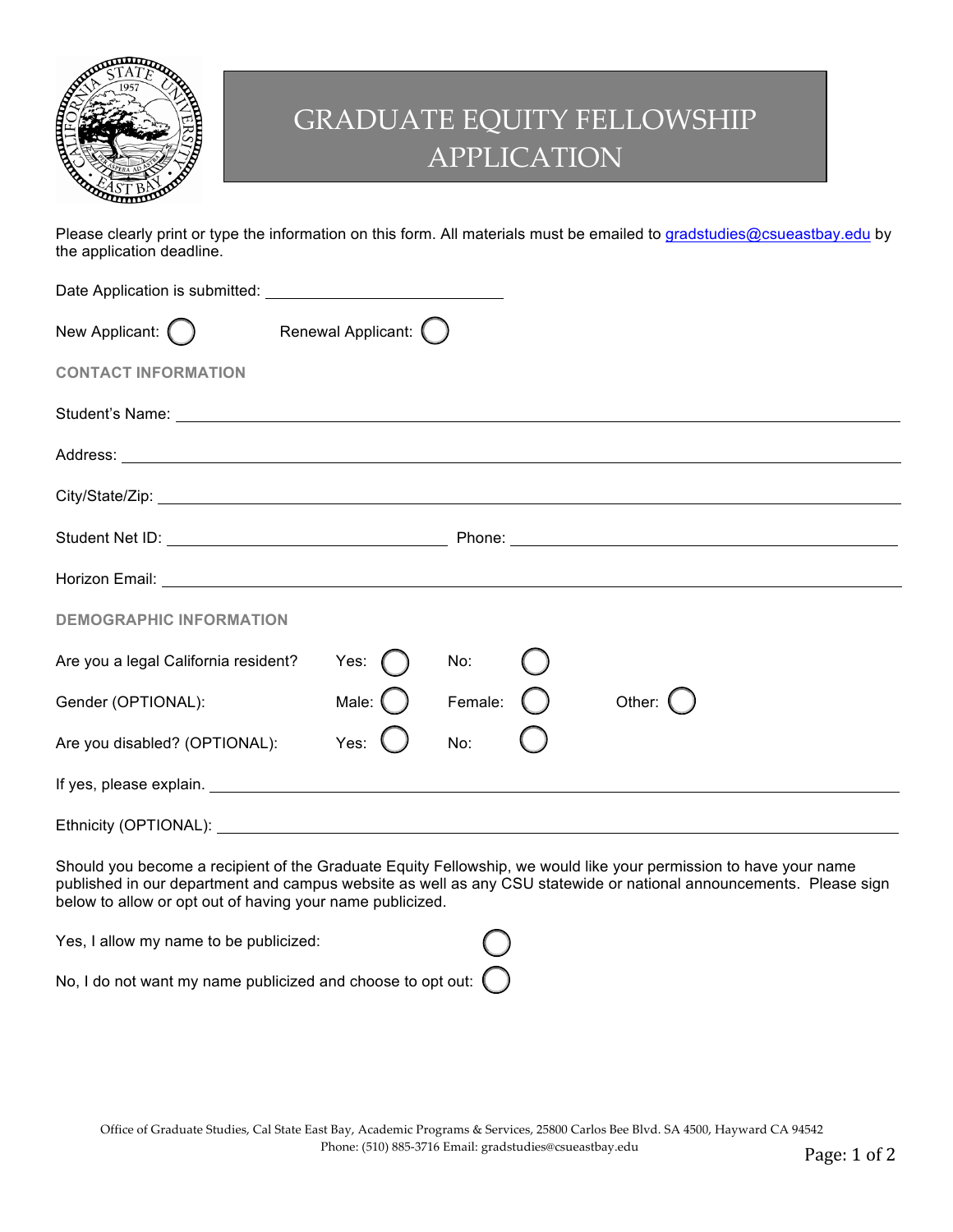

## GRADUATE EQUITY FELLOWSHIP APPLICATION

Please clearly print or type the information on this form. All materials must be emailed to gradstudies@csueastbay.edu by the application deadline.

| Renewal Applicant: ()<br>New Applicant: $\bigcirc$                                                                                                                                                                             |           |         |          |  |  |  |
|--------------------------------------------------------------------------------------------------------------------------------------------------------------------------------------------------------------------------------|-----------|---------|----------|--|--|--|
| <b>CONTACT INFORMATION</b>                                                                                                                                                                                                     |           |         |          |  |  |  |
|                                                                                                                                                                                                                                |           |         |          |  |  |  |
|                                                                                                                                                                                                                                |           |         |          |  |  |  |
|                                                                                                                                                                                                                                |           |         |          |  |  |  |
|                                                                                                                                                                                                                                |           |         |          |  |  |  |
|                                                                                                                                                                                                                                |           |         |          |  |  |  |
| <b>DEMOGRAPHIC INFORMATION</b>                                                                                                                                                                                                 |           |         |          |  |  |  |
| Are you a legal California resident?                                                                                                                                                                                           | Yes: $($  | No:     |          |  |  |  |
| Gender (OPTIONAL):                                                                                                                                                                                                             | Male: $($ | Female: | Other: ( |  |  |  |
| Are you disabled? (OPTIONAL):                                                                                                                                                                                                  | Yes:      | No:     |          |  |  |  |
| If yes, please explain. More and the set of the set of the set of the set of the set of the set of the set of the set of the set of the set of the set of the set of the set of the set of the set of the set of the set of th |           |         |          |  |  |  |
| Ethnicity (OPTIONAL):                                                                                                                                                                                                          |           |         |          |  |  |  |

Should you become a recipient of the Graduate Equity Fellowship, we would like your permission to have your name published in our department and campus website as well as any CSU statewide or national announcements. Please sign below to allow or opt out of having your name publicized.

Yes, I allow my name to be publicized:

No, I do not want my name publicized and choose to opt out: